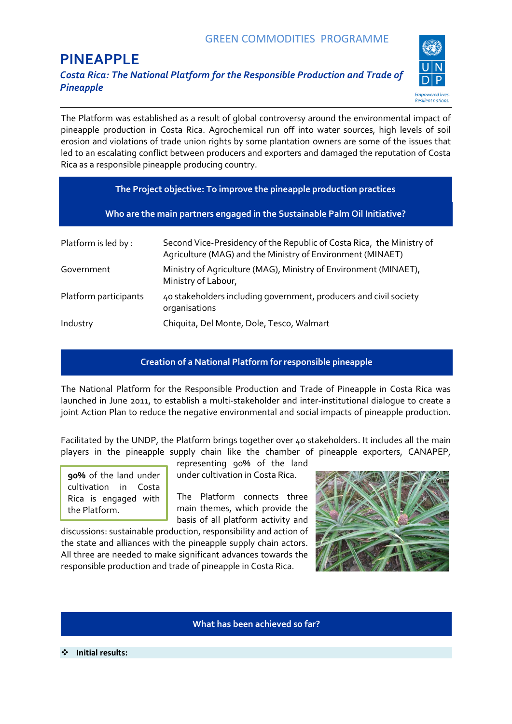# **PINEAPPLE**

 $\overline{a}$ 

*Costa Rica: The National Platform for the Responsible Production and Trade of Pineapple*



The Platform was established as a result of global controversy around the environmental impact of pineapple production in Costa Rica. Agrochemical run off into water sources, high levels of soil erosion and violations of trade union rights by some plantation owners are some of the issues that led to an escalating conflict between producers and exporters and damaged the reputation of Costa Rica as a responsible pineapple producing country.

| The Project objective: To improve the pineapple production practices      |                                                                                                                                     |
|---------------------------------------------------------------------------|-------------------------------------------------------------------------------------------------------------------------------------|
| Who are the main partners engaged in the Sustainable Palm Oil Initiative? |                                                                                                                                     |
| Platform is led by :                                                      | Second Vice-Presidency of the Republic of Costa Rica, the Ministry of<br>Agriculture (MAG) and the Ministry of Environment (MINAET) |
| Government                                                                | Ministry of Agriculture (MAG), Ministry of Environment (MINAET),<br>Ministry of Labour,                                             |
| Platform participants                                                     | 40 stakeholders including government, producers and civil society<br>organisations                                                  |
| Industry                                                                  | Chiquita, Del Monte, Dole, Tesco, Walmart                                                                                           |

## **Creation of a National Platform for responsible pineapple**

The National Platform for the Responsible Production and Trade of Pineapple in Costa Rica was launched in June 2011, to establish a multi-stakeholder and inter-institutional dialogue to create a joint Action Plan to reduce the negative environmental and social impacts of pineapple production.

Facilitated by the UNDP, the Platform brings together over 40 stakeholders. It includes all the main players in the pineapple supply chain like the chamber of pineapple exporters, CANAPEP,

**90%** of the land under cultivation in Costa Rica is engaged with the Platform.

representing 90% of the land under cultivation in Costa Rica.

The Platform connects three main themes, which provide the basis of all platform activity and

discussions: sustainable production, responsibility and action of the state and alliances with the pineapple supply chain actors. All three are needed to make significant advances towards the responsible production and trade of pineapple in Costa Rica.



## **What has been achieved so far?**

**Initial results:**